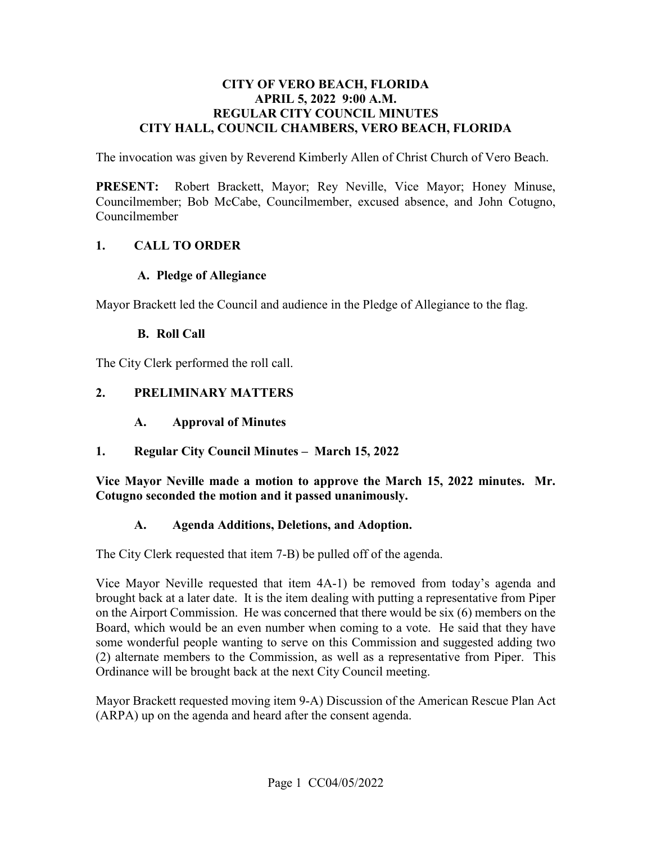#### **CITY OF VERO BEACH, FLORIDA APRIL 5, 2022 9:00 A.M. REGULAR CITY COUNCIL MINUTES CITY HALL, COUNCIL CHAMBERS, VERO BEACH, FLORIDA**

The invocation was given by Reverend Kimberly Allen of Christ Church of Vero Beach.

**PRESENT:** Robert Brackett, Mayor; Rey Neville, Vice Mayor; Honey Minuse, Councilmember; Bob McCabe, Councilmember, excused absence, and John Cotugno, Councilmember

#### **1. CALL TO ORDER**

#### **A. Pledge of Allegiance**

Mayor Brackett led the Council and audience in the Pledge of Allegiance to the flag.

#### **B. Roll Call**

The City Clerk performed the roll call.

## **2. PRELIMINARY MATTERS**

- $\mathbf{A}$ . **A. Approval of Minutes**
- **1. Regular City Council Minutes March 15, 2022**

 **Vice Mayor Neville made a motion to approve the March 15, 2022 minutes. Mr. Cotugno seconded the motion and it passed unanimously.** 

#### **A. Agenda Additions, Deletions, and Adoption.**

The City Clerk requested that item 7-B) be pulled off of the agenda.

 brought back at a later date. It is the item dealing with putting a representative from Piper Ordinance will be brought back at the next City Council meeting. Vice Mayor Neville requested that item 4A-1) be removed from today's agenda and on the Airport Commission. He was concerned that there would be six (6) members on the Board, which would be an even number when coming to a vote. He said that they have some wonderful people wanting to serve on this Commission and suggested adding two (2) alternate members to the Commission, as well as a representative from Piper. This

Mayor Brackett requested moving item 9-A) Discussion of the American Rescue Plan Act (ARPA) up on the agenda and heard after the consent agenda.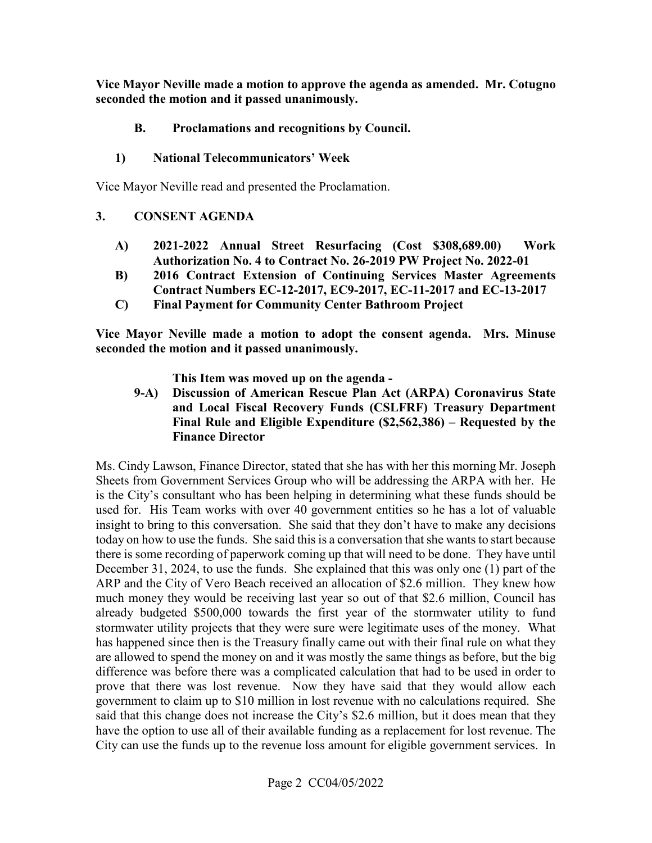**Vice Mayor Neville made a motion to approve the agenda as amended. Mr. Cotugno seconded the motion and it passed unanimously.** 

# **B. Proclamations and recognitions by Council.**

# **1) National Telecommunicators' Week**

Vice Mayor Neville read and presented the Proclamation.

## **3. CONSENT AGENDA**

- **A) 2021-2022 Annual Street Resurfacing (Cost \$[308,689.00\)](https://308,689.00) Work Authorization No. 4 to Contract No. 26-2019 PW Project No. 2022-01**
- **B) 2016 Contract Extension of Continuing Services Master Agreements Contract Numbers EC-12-2017, EC9-2017, EC-11-2017 and EC-13-2017**
- **C) Final Payment for Community Center Bathroom Project**

 **seconded the motion and it passed unanimously. This Item was moved up on the agenda - Vice Mayor Neville made a motion to adopt the consent agenda. Mrs. Minuse** 

**9-A) Discussion of American Rescue Plan Act (ARPA) Coronavirus State and Local Fiscal Recovery Funds (CSLFRF) Treasury Department Final Rule and Eligible Expenditure (\$2,562,386) – Requested by the Finance Director** 

 today on how to use the funds. She said this is a conversation that she wants to start because there is some recording of paperwork coming up that will need to be done. They have until ARP and the City of Vero Beach received an allocation of \$2.6 million. They knew how City can use the funds up to the revenue loss amount for eligible government services. In Ms. Cindy Lawson, Finance Director, stated that she has with her this morning Mr. Joseph Sheets from Government Services Group who will be addressing the ARPA with her. He is the City's consultant who has been helping in determining what these funds should be used for. His Team works with over 40 government entities so he has a lot of valuable insight to bring to this conversation. She said that they don't have to make any decisions December 31, 2024, to use the funds. She explained that this was only one (1) part of the much money they would be receiving last year so out of that \$2.6 million, Council has already budgeted \$500,000 towards the first year of the stormwater utility to fund stormwater utility projects that they were sure were legitimate uses of the money. What has happened since then is the Treasury finally came out with their final rule on what they are allowed to spend the money on and it was mostly the same things as before, but the big difference was before there was a complicated calculation that had to be used in order to prove that there was lost revenue. Now they have said that they would allow each government to claim up to \$10 million in lost revenue with no calculations required. She said that this change does not increase the City's \$2.6 million, but it does mean that they have the option to use all of their available funding as a replacement for lost revenue. The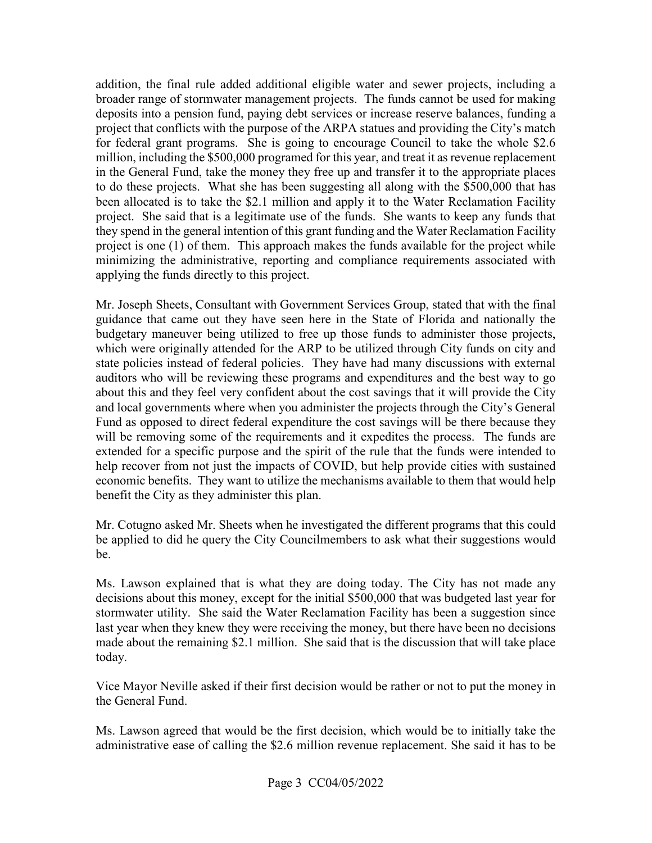addition, the final rule added additional eligible water and sewer projects, including a been allocated is to take the \$2.1 million and apply it to the Water Reclamation Facility project. She said that is a legitimate use of the funds. She wants to keep any funds that broader range of stormwater management projects. The funds cannot be used for making deposits into a pension fund, paying debt services or increase reserve balances, funding a project that conflicts with the purpose of the ARPA statues and providing the City's match for federal grant programs. She is going to encourage Council to take the whole \$2.6 million, including the \$500,000 programed for this year, and treat it as revenue replacement in the General Fund, take the money they free up and transfer it to the appropriate places to do these projects. What she has been suggesting all along with the \$500,000 that has they spend in the general intention of this grant funding and the Water Reclamation Facility project is one (1) of them. This approach makes the funds available for the project while minimizing the administrative, reporting and compliance requirements associated with applying the funds directly to this project.

 budgetary maneuver being utilized to free up those funds to administer those projects, state policies instead of federal policies. They have had many discussions with external benefit the City as they administer this plan. Mr. Joseph Sheets, Consultant with Government Services Group, stated that with the final guidance that came out they have seen here in the State of Florida and nationally the which were originally attended for the ARP to be utilized through City funds on city and auditors who will be reviewing these programs and expenditures and the best way to go about this and they feel very confident about the cost savings that it will provide the City and local governments where when you administer the projects through the City's General Fund as opposed to direct federal expenditure the cost savings will be there because they will be removing some of the requirements and it expedites the process. The funds are extended for a specific purpose and the spirit of the rule that the funds were intended to help recover from not just the impacts of COVID, but help provide cities with sustained economic benefits. They want to utilize the mechanisms available to them that would help

Mr. Cotugno asked Mr. Sheets when he investigated the different programs that this could be applied to did he query the City Councilmembers to ask what their suggestions would be.

 decisions about this money, except for the initial \$500,000 that was budgeted last year for last year when they knew they were receiving the money, but there have been no decisions Ms. Lawson explained that is what they are doing today. The City has not made any stormwater utility. She said the Water Reclamation Facility has been a suggestion since made about the remaining \$2.1 million. She said that is the discussion that will take place today.

Vice Mayor Neville asked if their first decision would be rather or not to put the money in the General Fund.

Ms. Lawson agreed that would be the first decision, which would be to initially take the administrative ease of calling the \$2.6 million revenue replacement. She said it has to be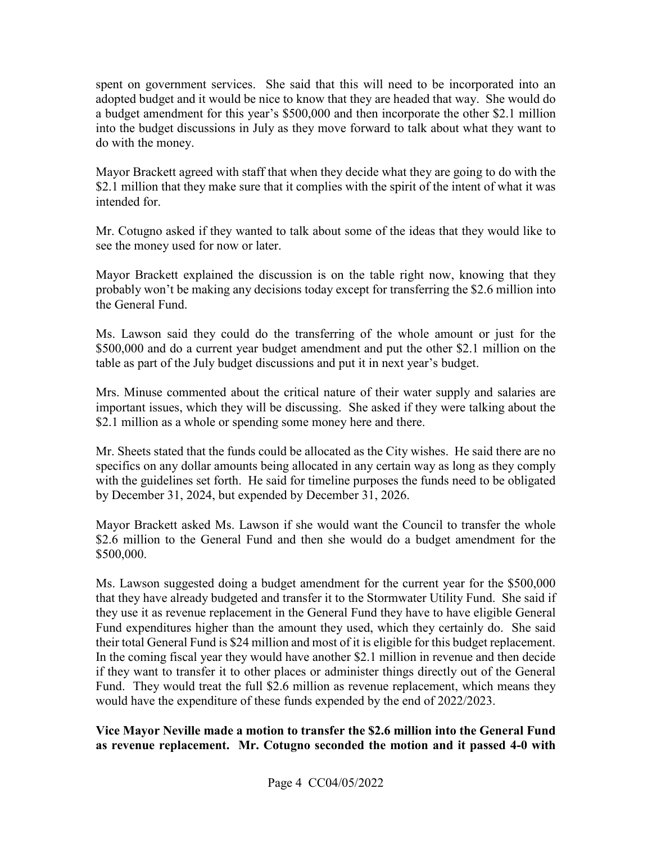a budget amendment for this year's \$500,000 and then incorporate the other \$2.1 million spent on government services. She said that this will need to be incorporated into an adopted budget and it would be nice to know that they are headed that way. She would do into the budget discussions in July as they move forward to talk about what they want to do with the money.

Mayor Brackett agreed with staff that when they decide what they are going to do with the \$2.1 million that they make sure that it complies with the spirit of the intent of what it was intended for.

Mr. Cotugno asked if they wanted to talk about some of the ideas that they would like to see the money used for now or later.

 Mayor Brackett explained the discussion is on the table right now, knowing that they probably won't be making any decisions today except for transferring the \$2.6 million into the General Fund.

 \$500,000 and do a current year budget amendment and put the other \$2.1 million on the table as part of the July budget discussions and put it in next year's budget. Ms. Lawson said they could do the transferring of the whole amount or just for the

 important issues, which they will be discussing. She asked if they were talking about the Mrs. Minuse commented about the critical nature of their water supply and salaries are \$2.1 million as a whole or spending some money here and there.

 specifics on any dollar amounts being allocated in any certain way as long as they comply by December 31, 2024, but expended by December 31, 2026. Mr. Sheets stated that the funds could be allocated as the City wishes. He said there are no with the guidelines set forth. He said for timeline purposes the funds need to be obligated

Mayor Brackett asked Ms. Lawson if she would want the Council to transfer the whole \$2.6 million to the General Fund and then she would do a budget amendment for the \$500,000.

 Ms. Lawson suggested doing a budget amendment for the current year for the \$500,000 that they have already budgeted and transfer it to the Stormwater Utility Fund. She said if their total General Fund is \$24 million and most of it is eligible for this budget replacement. their total General Fund is \$24 million and most of it is eligible for this budget replacement. In the coming fiscal year they would have another \$2.1 million in revenue and then decide Fund. They would treat the full \$2.6 million as revenue replacement, which means they they use it as revenue replacement in the General Fund they have to have eligible General Fund expenditures higher than the amount they used, which they certainly do. She said if they want to transfer it to other places or administer things directly out of the General would have the expenditure of these funds expended by the end of 2022/2023.

#### **Vice Mayor Neville made a motion to transfer the \$2.6 million into the General Fund as revenue replacement. Mr. Cotugno seconded the motion and it passed 4-0 with**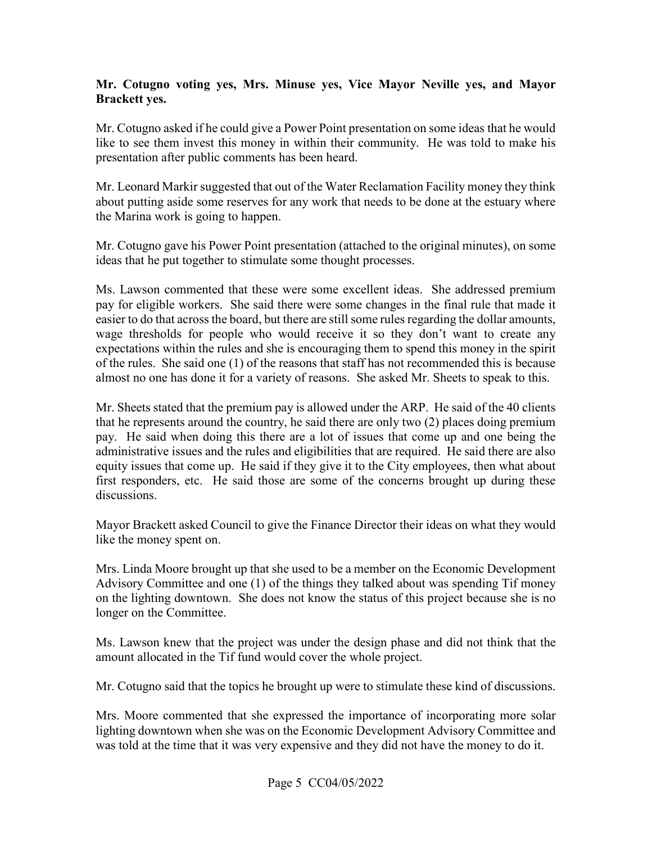#### **Mr. Cotugno voting yes, Mrs. Minuse yes, Vice Mayor Neville yes, and Mayor Brackett yes.**

 like to see them invest this money in within their community. He was told to make his Mr. Cotugno asked if he could give a Power Point presentation on some ideas that he would presentation after public comments has been heard.

 about putting aside some reserves for any work that needs to be done at the estuary where Mr. Leonard Markir suggested that out of the Water Reclamation Facility money they think the Marina work is going to happen.

Mr. Cotugno gave his Power Point presentation (attached to the original minutes), on some ideas that he put together to stimulate some thought processes.

 Ms. Lawson commented that these were some excellent ideas. She addressed premium almost no one has done it for a variety of reasons. She asked Mr. Sheets to speak to this. pay for eligible workers. She said there were some changes in the final rule that made it easier to do that across the board, but there are still some rules regarding the dollar amounts, wage thresholds for people who would receive it so they don't want to create any expectations within the rules and she is encouraging them to spend this money in the spirit of the rules. She said one (1) of the reasons that staff has not recommended this is because

 pay. He said when doing this there are a lot of issues that come up and one being the Mr. Sheets stated that the premium pay is allowed under the ARP. He said of the 40 clients that he represents around the country, he said there are only two (2) places doing premium administrative issues and the rules and eligibilities that are required. He said there are also equity issues that come up. He said if they give it to the City employees, then what about first responders, etc. He said those are some of the concerns brought up during these discussions.

 like the money spent on. Mayor Brackett asked Council to give the Finance Director their ideas on what they would

longer on the Committee. Mrs. Linda Moore brought up that she used to be a member on the Economic Development Advisory Committee and one (1) of the things they talked about was spending Tif money on the lighting downtown. She does not know the status of this project because she is no

Ms. Lawson knew that the project was under the design phase and did not think that the amount allocated in the Tif fund would cover the whole project.

Mr. Cotugno said that the topics he brought up were to stimulate these kind of discussions.

 was told at the time that it was very expensive and they did not have the money to do it. Mrs. Moore commented that she expressed the importance of incorporating more solar lighting downtown when she was on the Economic Development Advisory Committee and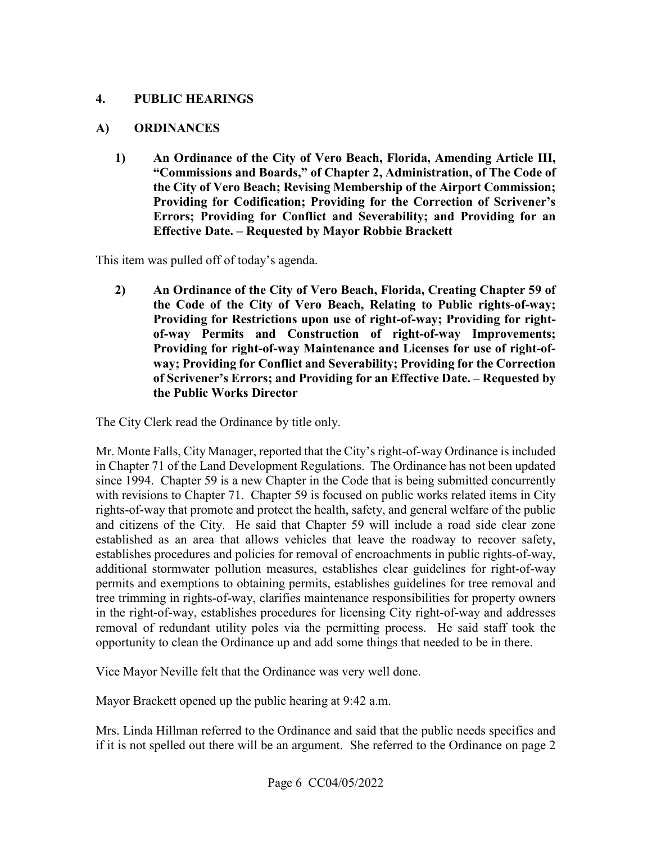#### **4. PUBLIC HEARINGS**

#### **A) ORDINANCES**

 **1) An Ordinance of the City of Vero Beach, Florida, Amending Article III, "Commissions and Boards," of Chapter 2, Administration, of The Code of the City of Vero Beach; Revising Membership of the Airport Commission; Providing for Codification; Providing for the Correction of Scrivener's Errors; Providing for Conflict and Severability; and Providing for an Effective Date. – Requested by Mayor Robbie Brackett** 

This item was pulled off of today's agenda.

**2) An Ordinance of the City of Vero Beach, Florida, Creating Chapter 59 of the Code of the City of Vero Beach, Relating to Public rights-of-way; Providing for Restrictions upon use of right-of-way; Providing for rightof-way Permits and Construction of right-of-way Improvements; Providing for right-of-way Maintenance and Licenses for use of right-ofway; Providing for Conflict and Severability; Providing for the Correction of Scrivener's Errors; and Providing for an Effective Date. – Requested by the Public Works Director** 

The City Clerk read the Ordinance by title only.

 Mr. Monte Falls, City Manager, reported that the City's right-of-way Ordinance is included rights-of-way that promote and protect the health, safety, and general welfare of the public and citizens of the City. He said that Chapter 59 will include a road side clear zone additional stormwater pollution measures, establishes clear guidelines for right-of-way opportunity to clean the Ordinance up and add some things that needed to be in there. in Chapter 71 of the Land Development Regulations. The Ordinance has not been updated since 1994. Chapter 59 is a new Chapter in the Code that is being submitted concurrently with revisions to Chapter 71. Chapter 59 is focused on public works related items in City established as an area that allows vehicles that leave the roadway to recover safety, establishes procedures and policies for removal of encroachments in public rights-of-way, permits and exemptions to obtaining permits, establishes guidelines for tree removal and tree trimming in rights-of-way, clarifies maintenance responsibilities for property owners in the right-of-way, establishes procedures for licensing City right-of-way and addresses removal of redundant utility poles via the permitting process. He said staff took the

Vice Mayor Neville felt that the Ordinance was very well done.

Mayor Brackett opened up the public hearing at 9:42 a.m.

 Mrs. Linda Hillman referred to the Ordinance and said that the public needs specifics and if it is not spelled out there will be an argument. She referred to the Ordinance on page 2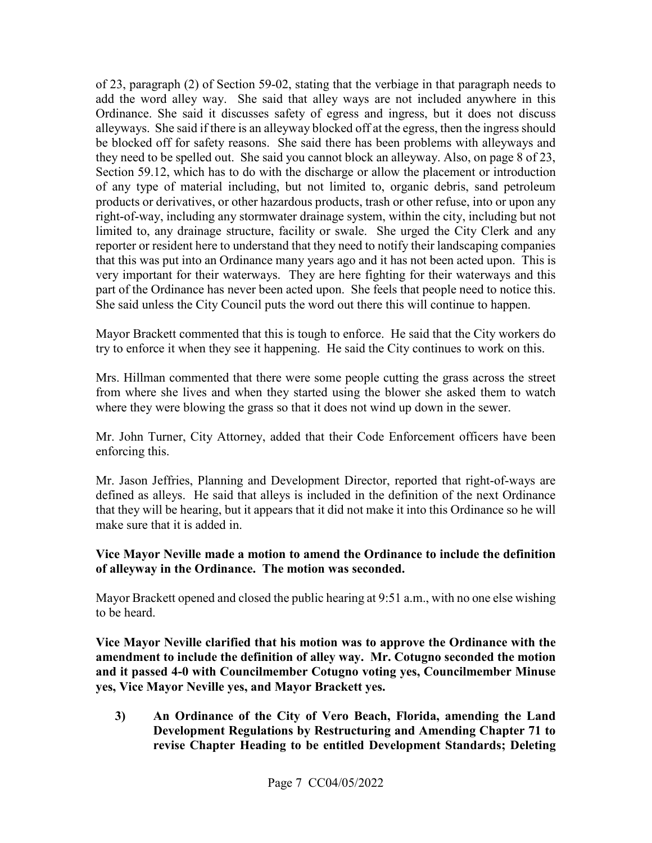reporter or resident here to understand that they need to notify their landscaping companies very important for their waterways. They are here fighting for their waterways and this part of the Ordinance has never been acted upon. She feels that people need to notice this. She said unless the City Council puts the word out there this will continue to happen. of 23, paragraph (2) of Section 59-02, stating that the verbiage in that paragraph needs to add the word alley way. She said that alley ways are not included anywhere in this Ordinance. She said it discusses safety of egress and ingress, but it does not discuss alleyways. She said if there is an alleyway blocked off at the egress, then the ingress should be blocked off for safety reasons. She said there has been problems with alleyways and they need to be spelled out. She said you cannot block an alleyway. Also, on page 8 of 23, Section 59.12, which has to do with the discharge or allow the placement or introduction of any type of material including, but not limited to, organic debris, sand petroleum products or derivatives, or other hazardous products, trash or other refuse, into or upon any right-of-way, including any stormwater drainage system, within the city, including but not limited to, any drainage structure, facility or swale. She urged the City Clerk and any that this was put into an Ordinance many years ago and it has not been acted upon. This is

Mayor Brackett commented that this is tough to enforce. He said that the City workers do try to enforce it when they see it happening. He said the City continues to work on this.

Mrs. Hillman commented that there were some people cutting the grass across the street from where she lives and when they started using the blower she asked them to watch where they were blowing the grass so that it does not wind up down in the sewer.

Mr. John Turner, City Attorney, added that their Code Enforcement officers have been enforcing this.

 defined as alleys. He said that alleys is included in the definition of the next Ordinance Mr. Jason Jeffries, Planning and Development Director, reported that right-of-ways are that they will be hearing, but it appears that it did not make it into this Ordinance so he will make sure that it is added in.

#### **of alleyway in the Ordinance. The motion was seconded. Vice Mayor Neville made a motion to amend the Ordinance to include the definition**

Mayor Brackett opened and closed the public hearing at 9:51 a.m., with no one else wishing to be heard.

 **Vice Mayor Neville clarified that his motion was to approve the Ordinance with the and it passed 4-0 with Councilmember Cotugno voting yes, Councilmember Minuse amendment to include the definition of alley way. Mr. Cotugno seconded the motion yes, Vice Mayor Neville yes, and Mayor Brackett yes.** 

**3) An Ordinance of the City of Vero Beach, Florida, amending the Land Development Regulations by Restructuring and Amending Chapter 71 to revise Chapter Heading to be entitled Development Standards; Deleting**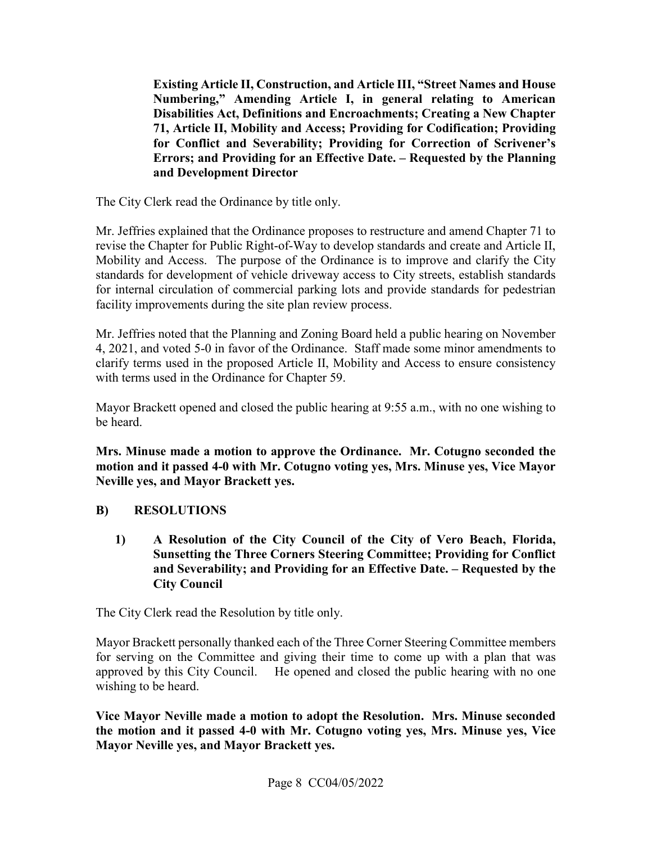**Existing Article II, Construction, and Article III, "Street Names and House Numbering," Amending Article I, in general relating to American Disabilities Act, Definitions and Encroachments; Creating a New Chapter 71, Article II, Mobility and Access; Providing for Codification; Providing for Conflict and Severability; Providing for Correction of Scrivener's Errors; and Providing for an Effective Date. – Requested by the Planning and Development Director** 

The City Clerk read the Ordinance by title only.

 Mobility and Access. The purpose of the Ordinance is to improve and clarify the City Mr. Jeffries explained that the Ordinance proposes to restructure and amend Chapter 71 to revise the Chapter for Public Right-of-Way to develop standards and create and Article II, standards for development of vehicle driveway access to City streets, establish standards for internal circulation of commercial parking lots and provide standards for pedestrian facility improvements during the site plan review process.

 Mr. Jeffries noted that the Planning and Zoning Board held a public hearing on November 4, 2021, and voted 5-0 in favor of the Ordinance. Staff made some minor amendments to clarify terms used in the proposed Article II, Mobility and Access to ensure consistency with terms used in the Ordinance for Chapter 59.

Mayor Brackett opened and closed the public hearing at 9:55 a.m., with no one wishing to be heard.

**Mrs. Minuse made a motion to approve the Ordinance. Mr. Cotugno seconded the motion and it passed 4-0 with Mr. Cotugno voting yes, Mrs. Minuse yes, Vice Mayor Neville yes, and Mayor Brackett yes.** 

## **B) RESOLUTIONS**

**1) A Resolution of the City Council of the City of Vero Beach, Florida, Sunsetting the Three Corners Steering Committee; Providing for Conflict and Severability; and Providing for an Effective Date. – Requested by the City Council** 

The City Clerk read the Resolution by title only.

 Mayor Brackett personally thanked each of the Three Corner Steering Committee members approved by this City Council. He opened and closed the public hearing with no one for serving on the Committee and giving their time to come up with a plan that was wishing to be heard.

 **Vice Mayor Neville made a motion to adopt the Resolution. Mrs. Minuse seconded the motion and it passed 4-0 with Mr. Cotugno voting yes, Mrs. Minuse yes, Vice Mayor Neville yes, and Mayor Brackett yes.**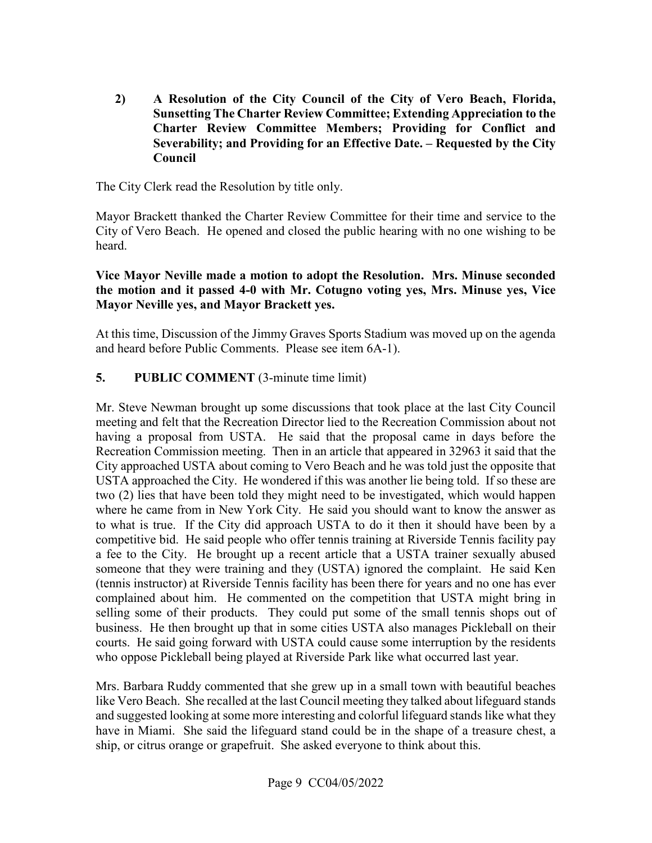**Sunsetting The Charter Review Committee; Extending Appreciation to the Severability; and Providing for an Effective Date. – Requested by the City 2) A Resolution of the City Council of the City of Vero Beach, Florida, Charter Review Committee Members; Providing for Conflict and Council** 

The City Clerk read the Resolution by title only.

 City of Vero Beach. He opened and closed the public hearing with no one wishing to be Mayor Brackett thanked the Charter Review Committee for their time and service to the heard.

#### **Vice Mayor Neville made a motion to adopt the Resolution. Mrs. Minuse seconded the motion and it passed 4-0 with Mr. Cotugno voting yes, Mrs. Minuse yes, Vice Mayor Neville yes, and Mayor Brackett yes.**

At this time, Discussion of the Jimmy Graves Sports Stadium was moved up on the agenda and heard before Public Comments. Please see item 6A-1).

# **5.** PUBLIC COMMENT (3-minute time limit)

 USTA approached the City. He wondered if this was another lie being told. If so these are where he came from in New York City. He said you should want to know the answer as to what is true. If the City did approach USTA to do it then it should have been by a a fee to the City. He brought up a recent article that a USTA trainer sexually abused (tennis instructor) at Riverside Tennis facility has been there for years and no one has ever courts. He said going forward with USTA could cause some interruption by the residents who oppose Pickleball being played at Riverside Park like what occurred last year. Mr. Steve Newman brought up some discussions that took place at the last City Council meeting and felt that the Recreation Director lied to the Recreation Commission about not having a proposal from USTA. He said that the proposal came in days before the Recreation Commission meeting. Then in an article that appeared in 32963 it said that the City approached USTA about coming to Vero Beach and he was told just the opposite that two (2) lies that have been told they might need to be investigated, which would happen competitive bid. He said people who offer tennis training at Riverside Tennis facility pay someone that they were training and they (USTA) ignored the complaint. He said Ken complained about him. He commented on the competition that USTA might bring in selling some of their products. They could put some of the small tennis shops out of business. He then brought up that in some cities USTA also manages Pickleball on their

 ship, or citrus orange or grapefruit. She asked everyone to think about this. Mrs. Barbara Ruddy commented that she grew up in a small town with beautiful beaches like Vero Beach. She recalled at the last Council meeting they talked about lifeguard stands and suggested looking at some more interesting and colorful lifeguard stands like what they have in Miami. She said the lifeguard stand could be in the shape of a treasure chest, a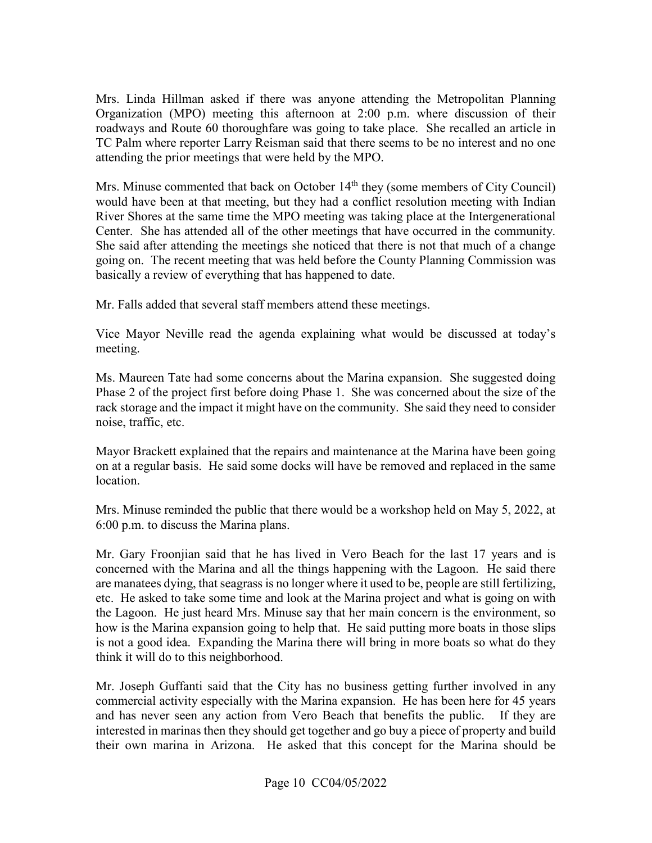Mrs. Linda Hillman asked if there was anyone attending the Metropolitan Planning Organization (MPO) meeting this afternoon at 2:00 p.m. where discussion of their roadways and Route 60 thoroughfare was going to take place. She recalled an article in TC Palm where reporter Larry Reisman said that there seems to be no interest and no one attending the prior meetings that were held by the MPO.

Mrs. Minuse commented that back on October 14<sup>th</sup> they (some members of City Council) would have been at that meeting, but they had a conflict resolution meeting with Indian Center. She has attended all of the other meetings that have occurred in the community. River Shores at the same time the MPO meeting was taking place at the Intergenerational She said after attending the meetings she noticed that there is not that much of a change going on. The recent meeting that was held before the County Planning Commission was basically a review of everything that has happened to date.

Mr. Falls added that several staff members attend these meetings.

Vice Mayor Neville read the agenda explaining what would be discussed at today's meeting.

 Ms. Maureen Tate had some concerns about the Marina expansion. She suggested doing Phase 2 of the project first before doing Phase 1. She was concerned about the size of the rack storage and the impact it might have on the community. She said they need to consider noise, traffic, etc.

 on at a regular basis. He said some docks will have be removed and replaced in the same Mayor Brackett explained that the repairs and maintenance at the Marina have been going location.

 Mrs. Minuse reminded the public that there would be a workshop held on May 5, 2022, at 6:00 p.m. to discuss the Marina plans.

 concerned with the Marina and all the things happening with the Lagoon. He said there etc. He asked to take some time and look at the Marina project and what is going on with Mr. Gary Froonjian said that he has lived in Vero Beach for the last 17 years and is are manatees dying, that seagrass is no longer where it used to be, people are still fertilizing, the Lagoon. He just heard Mrs. Minuse say that her main concern is the environment, so how is the Marina expansion going to help that. He said putting more boats in those slips is not a good idea. Expanding the Marina there will bring in more boats so what do they think it will do to this neighborhood.

 and has never seen any action from Vero Beach that benefits the public. If they are interested in marinas then they should get together and go buy a piece of property and build Mr. Joseph Guffanti said that the City has no business getting further involved in any commercial activity especially with the Marina expansion. He has been here for 45 years their own marina in Arizona. He asked that this concept for the Marina should be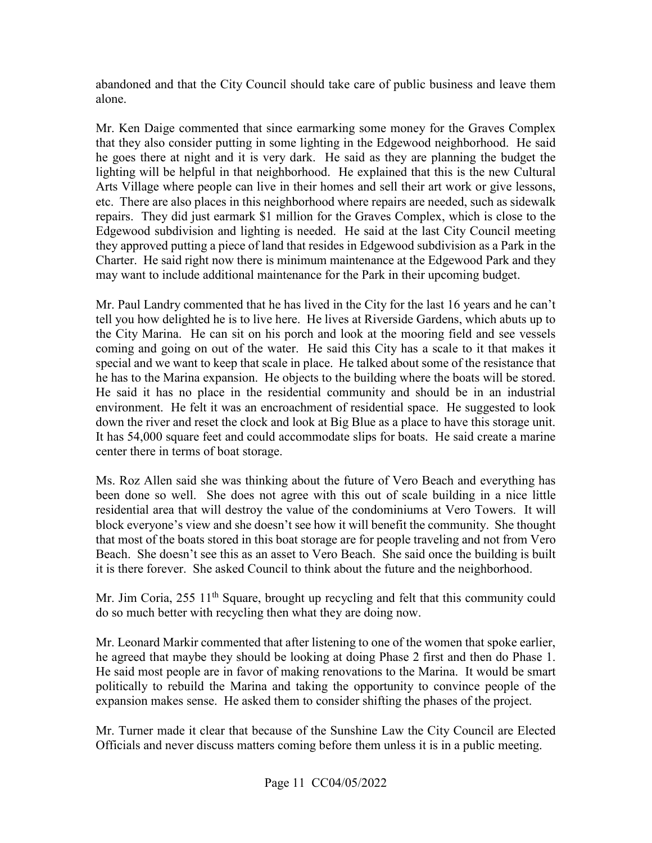abandoned and that the City Council should take care of public business and leave them alone.

 he goes there at night and it is very dark. He said as they are planning the budget the they approved putting a piece of land that resides in Edgewood subdivision as a Park in the Charter. He said right now there is minimum maintenance at the Edgewood Park and they may want to include additional maintenance for the Park in their upcoming budget. Mr. Ken Daige commented that since earmarking some money for the Graves Complex that they also consider putting in some lighting in the Edgewood neighborhood. He said lighting will be helpful in that neighborhood. He explained that this is the new Cultural Arts Village where people can live in their homes and sell their art work or give lessons, etc. There are also places in this neighborhood where repairs are needed, such as sidewalk repairs. They did just earmark \$1 million for the Graves Complex, which is close to the Edgewood subdivision and lighting is needed. He said at the last City Council meeting

 Mr. Paul Landry commented that he has lived in the City for the last 16 years and he can't tell you how delighted he is to live here. He lives at Riverside Gardens, which abuts up to the City Marina. He can sit on his porch and look at the mooring field and see vessels coming and going on out of the water. He said this City has a scale to it that makes it environment. He felt it was an encroachment of residential space. He suggested to look down the river and reset the clock and look at Big Blue as a place to have this storage unit. down the river and reset the clock and look at Big Blue as a place to have this storage unit. It has 54,000 square feet and could accommodate slips for boats. He said create a marine center there in terms of boat storage. special and we want to keep that scale in place. He talked about some of the resistance that he has to the Marina expansion. He objects to the building where the boats will be stored. He said it has no place in the residential community and should be in an industrial

 residential area that will destroy the value of the condominiums at Vero Towers. It will Beach. She doesn't see this as an asset to Vero Beach. She said once the building is built it is there forever. She asked Council to think about the future and the neighborhood. Ms. Roz Allen said she was thinking about the future of Vero Beach and everything has been done so well. She does not agree with this out of scale building in a nice little block everyone's view and she doesn't see how it will benefit the community. She thought that most of the boats stored in this boat storage are for people traveling and not from Vero

Mr. Jim Coria, 255 11<sup>th</sup> Square, brought up recycling and felt that this community could do so much better with recycling then what they are doing now.

 Mr. Leonard Markir commented that after listening to one of the women that spoke earlier, expansion makes sense. He asked them to consider shifting the phases of the project. he agreed that maybe they should be looking at doing Phase 2 first and then do Phase 1. He said most people are in favor of making renovations to the Marina. It would be smart politically to rebuild the Marina and taking the opportunity to convince people of the

Officials and never discuss matters coming before them unless it is in a public meeting.<br>Page 11 CC04/05/2022 Mr. Turner made it clear that because of the Sunshine Law the City Council are Elected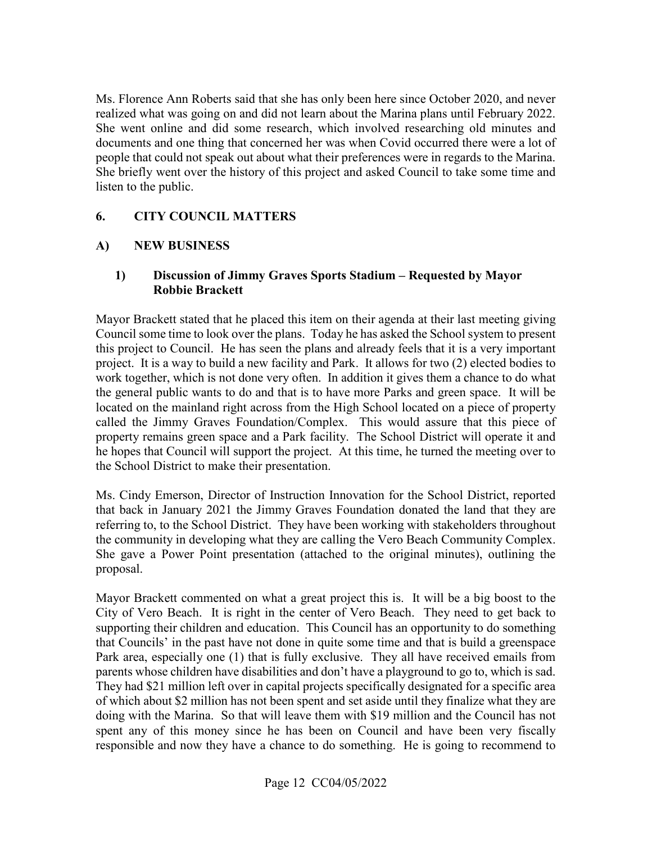Ms. Florence Ann Roberts said that she has only been here since October 2020, and never realized what was going on and did not learn about the Marina plans until February 2022. She went online and did some research, which involved researching old minutes and documents and one thing that concerned her was when Covid occurred there were a lot of people that could not speak out about what their preferences were in regards to the Marina. She briefly went over the history of this project and asked Council to take some time and listen to the public.

#### **6. CITY COUNCIL MATTERS**

#### **A) NEW BUSINESS**

#### **1) Discussion of Jimmy Graves Sports Stadium – Requested by Mayor Robbie Brackett**

 Mayor Brackett stated that he placed this item on their agenda at their last meeting giving this project to Council. He has seen the plans and already feels that it is a very important the general public wants to do and that is to have more Parks and green space. It will be he hopes that Council will support the project. At this time, he turned the meeting over to the School District to make their presentation. Council some time to look over the plans. Today he has asked the School system to present project. It is a way to build a new facility and Park. It allows for two (2) elected bodies to work together, which is not done very often. In addition it gives them a chance to do what located on the mainland right across from the High School located on a piece of property called the Jimmy Graves Foundation/Complex. This would assure that this piece of property remains green space and a Park facility. The School District will operate it and

 that back in January 2021 the Jimmy Graves Foundation donated the land that they are the community in developing what they are calling the Vero Beach Community Complex. Ms. Cindy Emerson, Director of Instruction Innovation for the School District, reported referring to, to the School District. They have been working with stakeholders throughout She gave a Power Point presentation (attached to the original minutes), outlining the proposal.

 Mayor Brackett commented on what a great project this is. It will be a big boost to the Park area, especially one (1) that is fully exclusive. They all have received emails from They had \$21 million left over in capital projects specifically designated for a specific area of which about \$2 million has not been spent and set aside until they finalize what they are spent any of this money since he has been on Council and have been very fiscally responsible and now they have a chance to do something. He is going to recommend to City of Vero Beach. It is right in the center of Vero Beach. They need to get back to supporting their children and education. This Council has an opportunity to do something that Councils' in the past have not done in quite some time and that is build a greenspace parents whose children have disabilities and don't have a playground to go to, which is sad. doing with the Marina. So that will leave them with \$19 million and the Council has not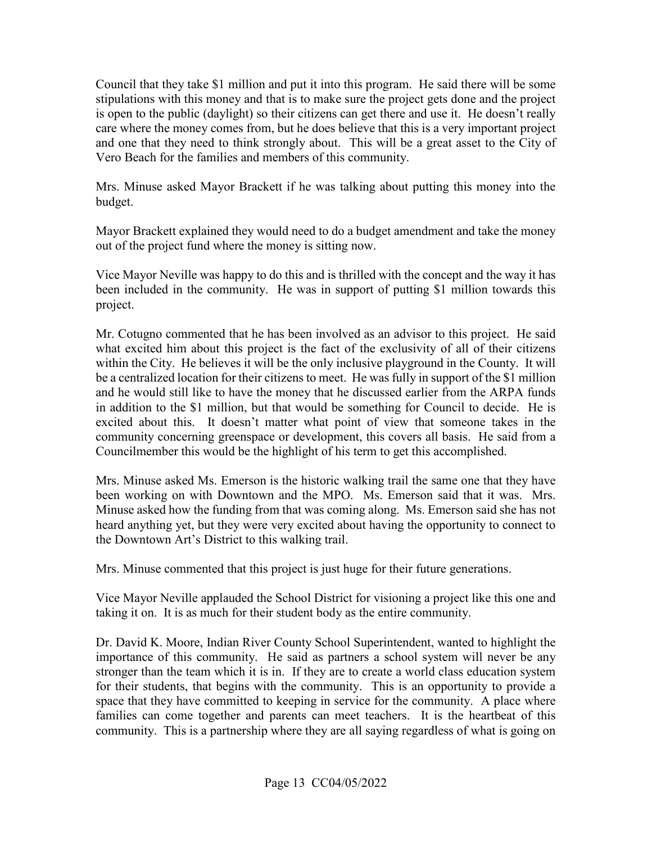stipulations with this money and that is to make sure the project gets done and the project and one that they need to think strongly about. This will be a great asset to the City of Vero Beach for the families and members of this community. Council that they take \$1 million and put it into this program. He said there will be some is open to the public (daylight) so their citizens can get there and use it. He doesn't really care where the money comes from, but he does believe that this is a very important project

Mrs. Minuse asked Mayor Brackett if he was talking about putting this money into the budget.

 Mayor Brackett explained they would need to do a budget amendment and take the money out of the project fund where the money is sitting now.

 been included in the community. He was in support of putting \$1 million towards this Vice Mayor Neville was happy to do this and is thrilled with the concept and the way it has project.

 be a centralized location for their citizens to meet. He was fully in support of the \$1 million and he would still like to have the money that he discussed earlier from the ARPA funds community concerning greenspace or development, this covers all basis. He said from a Mr. Cotugno commented that he has been involved as an advisor to this project. He said what excited him about this project is the fact of the exclusivity of all of their citizens within the City. He believes it will be the only inclusive playground in the County. It will in addition to the \$1 million, but that would be something for Council to decide. He is excited about this. It doesn't matter what point of view that someone takes in the Councilmember this would be the highlight of his term to get this accomplished.

 been working on with Downtown and the MPO. Ms. Emerson said that it was. Mrs. heard anything yet, but they were very excited about having the opportunity to connect to the Downtown Art's District to this walking trail. Mrs. Minuse asked Ms. Emerson is the historic walking trail the same one that they have Minuse asked how the funding from that was coming along. Ms. Emerson said she has not

Mrs. Minuse commented that this project is just huge for their future generations.

 taking it on. It is as much for their student body as the entire community. Vice Mayor Neville applauded the School District for visioning a project like this one and

 Dr. David K. Moore, Indian River County School Superintendent, wanted to highlight the importance of this community. He said as partners a school system will never be any for their students, that begins with the community. This is an opportunity to provide a space that they have committed to keeping in service for the community. A place where families can come together and parents can meet teachers. It is the heartbeat of this stronger than the team which it is in. If they are to create a world class education system community. This is a partnership where they are all saying regardless of what is going on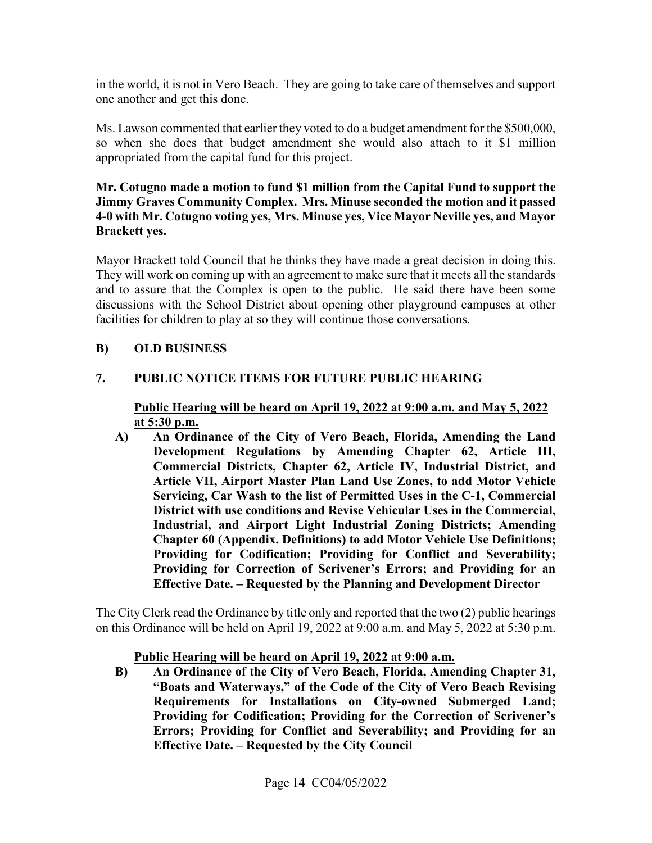in the world, it is not in Vero Beach. They are going to take care of themselves and support one another and get this done.

Ms. Lawson commented that earlier they voted to do a budget amendment for the \$500,000, so when she does that budget amendment she would also attach to it \$1 million appropriated from the capital fund for this project.

#### **Mr. Cotugno made a motion to fund \$1 million from the Capital Fund to support the Jimmy Graves Community Complex. Mrs. Minuse seconded the motion and it passed 4-0 with Mr. Cotugno voting yes, Mrs. Minuse yes, Vice Mayor Neville yes, and Mayor Brackett yes.**

Mayor Brackett told Council that he thinks they have made a great decision in doing this. facilities for children to play at so they will continue those conversations. They will work on coming up with an agreement to make sure that it meets all the standards. and to assure that the Complex is open to the public. He said there have been some discussions with the School District about opening other playground campuses at other

## **B) OLD BUSINESS**

## **PUBLIC NOTICE ITEMS FOR FUTURE PUBLIC HEARING**

# **7.** PUBLIC NOTICE ITEMS FOR FUTURE PUBLIC HEARING<br>Public Hearing will be heard on April 19, 2022 at 9:00 a.m. and May 5, 2022 **at 5:30 p.m.**

 **Industrial, and Airport Light Industrial Zoning Districts; Amending Providing for Correction of Scrivener's Errors; and Providing for an A) An Ordinance of the City of Vero Beach, Florida, Amending the Land Development Regulations by Amending Chapter 62, Article III, Commercial Districts, Chapter 62, Article IV, Industrial District, and Article VII, Airport Master Plan Land Use Zones, to add Motor Vehicle Servicing, Car Wash to the list of Permitted Uses in the C-1, Commercial District with use conditions and Revise Vehicular Uses in the Commercial, Chapter 60 (Appendix. Definitions) to add Motor Vehicle Use Definitions; Providing for Codification; Providing for Conflict and Severability; Effective Date. – Requested by the Planning and Development Director** 

The City Clerk read the Ordinance by title only and reported that the two (2) public hearings on this Ordinance will be held on April 19, 2022 at 9:00 a.m. and May 5, 2022 at 5:30 p.m.

#### **Public Hearing will be heard on April 19, 2022 at 9:00 a.m.**

**B) An Ordinance of the City of Vero Beach, Florida, Amending Chapter 31, "Boats and Waterways," of the Code of the City of Vero Beach Revising Requirements for Installations on City-owned Submerged Land; Providing for Codification; Providing for the Correction of Scrivener's Errors; Providing for Conflict and Severability; and Providing for an Effective Date. – Requested by the City Council**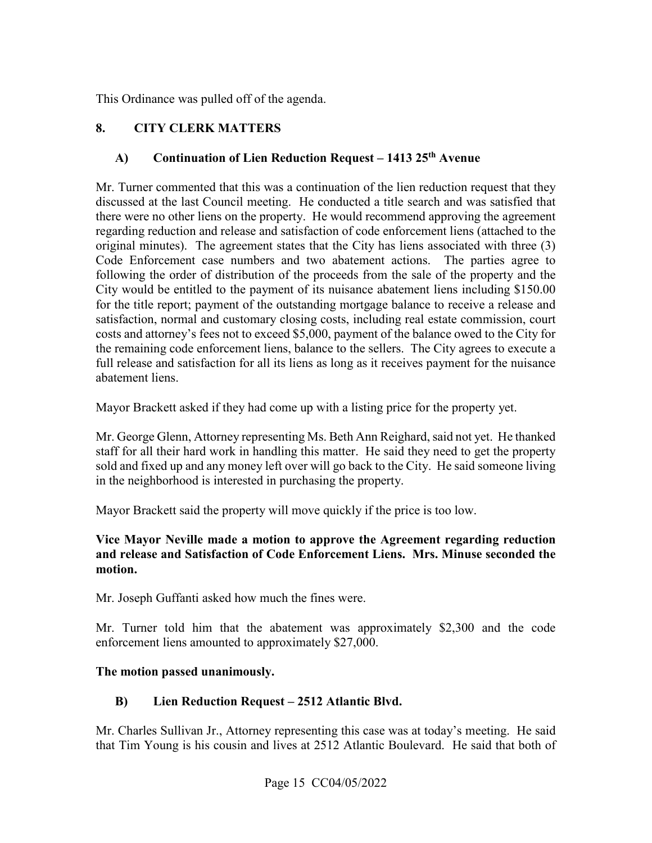This Ordinance was pulled off of the agenda.

# **8. CITY CLERK MATTERS**

## **A) Continuation of Lien Reduction Request – 1413 25th Avenue**

 there were no other liens on the property. He would recommend approving the agreement regarding reduction and release and satisfaction of code enforcement liens (attached to the following the order of distribution of the proceeds from the sale of the property and the abatement liens. Mr. Turner commented that this was a continuation of the lien reduction request that they discussed at the last Council meeting. He conducted a title search and was satisfied that original minutes). The agreement states that the City has liens associated with three (3) Code Enforcement case numbers and two abatement actions. The parties agree to City would be entitled to the payment of its nuisance abatement liens including \$150.00 for the title report; payment of the outstanding mortgage balance to receive a release and satisfaction, normal and customary closing costs, including real estate commission, court costs and attorney's fees not to exceed \$5,000, payment of the balance owed to the City for the remaining code enforcement liens, balance to the sellers. The City agrees to execute a full release and satisfaction for all its liens as long as it receives payment for the nuisance

Mayor Brackett asked if they had come up with a listing price for the property yet.

abatement liens.<br>Mayor Brackett asked if they had come up with a listing price for the property yet.<br>Mr. George Glenn, Attorney representing Ms. Beth Ann Reighard, said not yet. He thanked in the neighborhood is interested in purchasing the property. staff for all their hard work in handling this matter. He said they need to get the property sold and fixed up and any money left over will go back to the City. He said someone living

Mayor Brackett said the property will move quickly if the price is too low.

#### **Vice Mayor Neville made a motion to approve the Agreement regarding reduction and release and Satisfaction of Code Enforcement Liens. Mrs. Minuse seconded the motion.**

Mr. Joseph Guffanti asked how much the fines were.

 Mr. Turner told him that the abatement was approximately \$2,300 and the code enforcement liens amounted to approximately \$27,000.

## **The motion passed unanimously.**

## **B) Lien Reduction Request – 2512 Atlantic Blvd.**

 Mr. Charles Sullivan Jr., Attorney representing this case was at today's meeting. He said that Tim Young is his cousin and lives at 2512 Atlantic Boulevard. He said that both of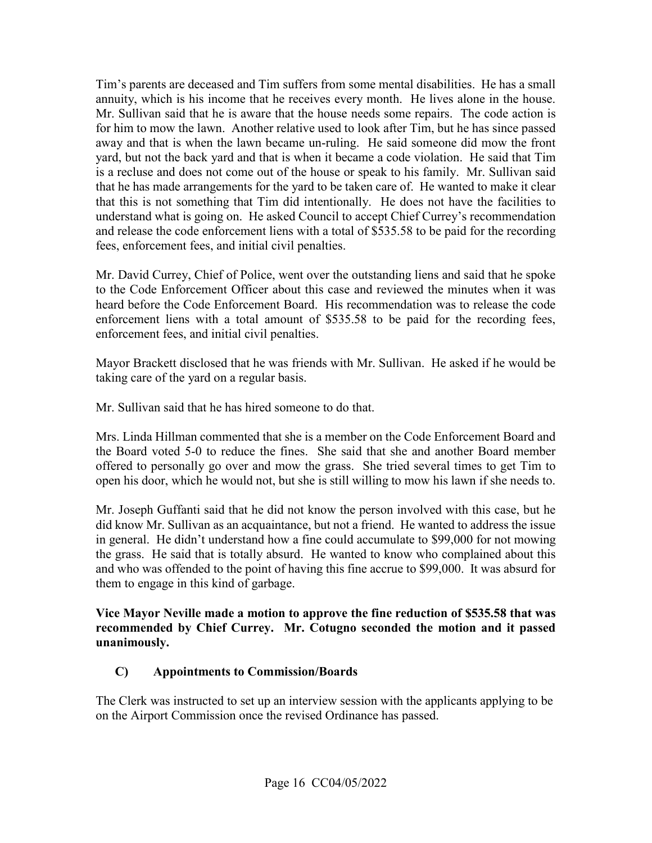Tim's parents are deceased and Tim suffers from some mental disabilities. He has a small fees, enforcement fees, and initial civil penalties. annuity, which is his income that he receives every month. He lives alone in the house. Mr. Sullivan said that he is aware that the house needs some repairs. The code action is for him to mow the lawn. Another relative used to look after Tim, but he has since passed away and that is when the lawn became un-ruling. He said someone did mow the front yard, but not the back yard and that is when it became a code violation. He said that Tim is a recluse and does not come out of the house or speak to his family. Mr. Sullivan said that he has made arrangements for the yard to be taken care of. He wanted to make it clear that this is not something that Tim did intentionally. He does not have the facilities to understand what is going on. He asked Council to accept Chief Currey's recommendation and release the code enforcement liens with a total of \$535.58 to be paid for the recording

Mr. David Currey, Chief of Police, went over the outstanding liens and said that he spoke to the Code Enforcement Officer about this case and reviewed the minutes when it was heard before the Code Enforcement Board. His recommendation was to release the code enforcement liens with a total amount of \$535.58 to be paid for the recording fees, enforcement fees, and initial civil penalties.

Mayor Brackett disclosed that he was friends with Mr. Sullivan. He asked if he would be taking care of the yard on a regular basis.

Mr. Sullivan said that he has hired someone to do that.

open his door, which he would not, but she is still willing to mow his lawn if she needs to. Mrs. Linda Hillman commented that she is a member on the Code Enforcement Board and the Board voted 5-0 to reduce the fines. She said that she and another Board member offered to personally go over and mow the grass. She tried several times to get Tim to

Mr. Joseph Guffanti said that he did not know the person involved with this case, but he did know Mr. Sullivan as an acquaintance, but not a friend. He wanted to address the issue in general. He didn't understand how a fine could accumulate to \$99,000 for not mowing the grass. He said that is totally absurd. He wanted to know who complained about this and who was offended to the point of having this fine accrue to \$99,000. It was absurd for them to engage in this kind of garbage.

 **recommended by Chief Currey. Mr. Cotugno seconded the motion and it passed**  unanimously. **Vice Mayor Neville made a motion to approve the fine reduction of \$535.58 that was** 

## **unanimously. C) Appointments to Commission/Boards**

The Clerk was instructed to set up an interview session with the applicants applying to be on the Airport Commission once the revised Ordinance has passed.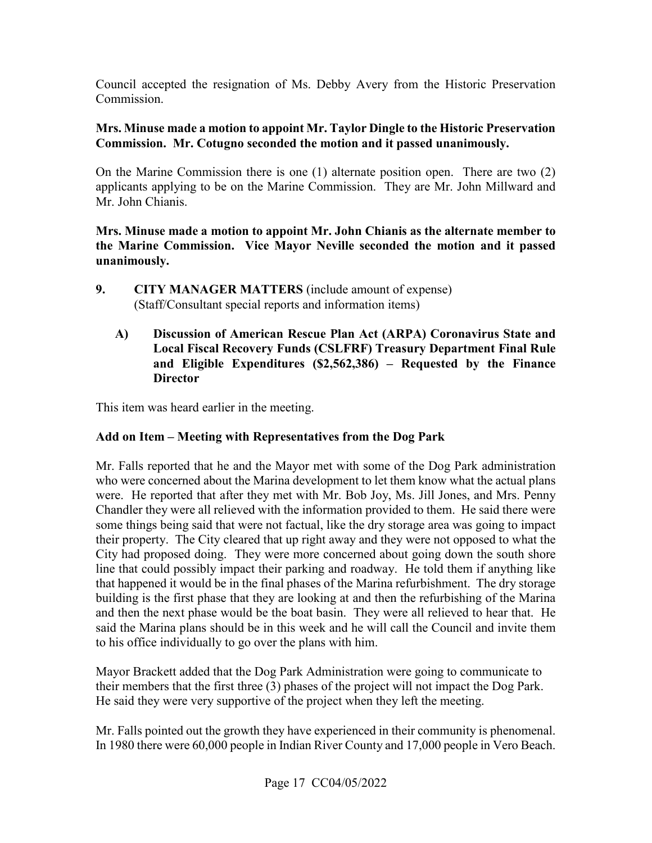Council accepted the resignation of Ms. Debby Avery from the Historic Preservation Commission.

#### **Mrs. Minuse made a motion to appoint Mr. Taylor Dingle to the Historic Preservation Commission. Mr. Cotugno seconded the motion and it passed unanimously.**

On the Marine Commission there is one (1) alternate position open. There are two (2) applicants applying to be on the Marine Commission. They are Mr. John Millward and Mr. John Chianis.

 **Mrs. Minuse made a motion to appoint Mr. John Chianis as the alternate member to the Marine Commission. Vice Mayor Neville seconded the motion and it passed unanimously.** 

- $\mathbf{9}$ .  (Staff/Consultant special reports and information items) **9. CITY MANAGER MATTERS** (include amount of expense)
	- **and Eligible Expenditures (\$2,562,386) Requested by the Finance A) Discussion of American Rescue Plan Act (ARPA) Coronavirus State and Local Fiscal Recovery Funds (CSLFRF) Treasury Department Final Rule Director**

This item was heard earlier in the meeting.

## **Add on Item – Meeting with Representatives from the Dog Park**

 were. He reported that after they met with Mr. Bob Joy, Ms. Jill Jones, and Mrs. Penny some things being said that were not factual, like the dry storage area was going to impact City had proposed doing. They were more concerned about going down the south shore that happened it would be in the final phases of the Marina refurbishment. The dry storage building is the first phase that they are looking at and then the refurbishing of the Marina and then the next phase would be the boat basin. They were all relieved to hear that. He Mr. Falls reported that he and the Mayor met with some of the Dog Park administration who were concerned about the Marina development to let them know what the actual plans Chandler they were all relieved with the information provided to them. He said there were their property. The City cleared that up right away and they were not opposed to what the line that could possibly impact their parking and roadway. He told them if anything like said the Marina plans should be in this week and he will call the Council and invite them to his office individually to go over the plans with him.

 Mayor Brackett added that the Dog Park Administration were going to communicate to He said they were very supportive of the project when they left the meeting. their members that the first three (3) phases of the project will not impact the Dog Park.

 In 1980 there were 60,000 people in Indian River County and 17,000 people in Vero Beach. Mr. Falls pointed out the growth they have experienced in their community is phenomenal.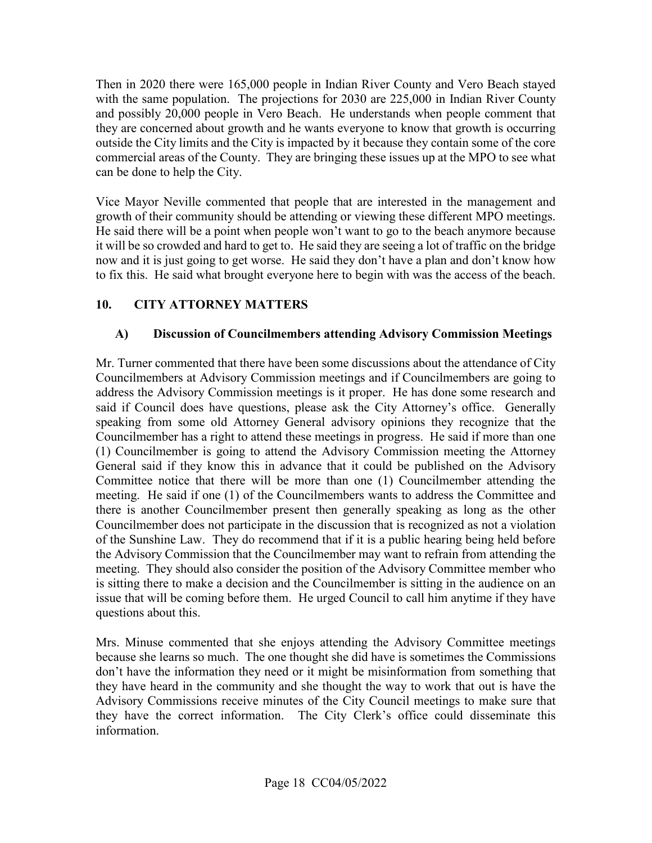they are concerned about growth and he wants everyone to know that growth is occurring commercial areas of the County. They are bringing these issues up at the MPO to see what can be done to help the City. Then in 2020 there were 165,000 people in Indian River County and Vero Beach stayed with the same population. The projections for 2030 are 225,000 in Indian River County and possibly 20,000 people in Vero Beach. He understands when people comment that outside the City limits and the City is impacted by it because they contain some of the core

 now and it is just going to get worse. He said they don't have a plan and don't know how to fix this. He said what brought everyone here to begin with was the access of the beach. Vice Mayor Neville commented that people that are interested in the management and growth of their community should be attending or viewing these different MPO meetings. He said there will be a point when people won't want to go to the beach anymore because it will be so crowded and hard to get to. He said they are seeing a lot of traffic on the bridge

# **10. CITY ATTORNEY MATTERS**

# **A) Discussion of Councilmembers attending Advisory Commission Meetings**

 Councilmembers at Advisory Commission meetings and if Councilmembers are going to meeting. He said if one (1) of the Councilmembers wants to address the Committee and meeting. They should also consider the position of the Advisory Committee member who Mr. Turner commented that there have been some discussions about the attendance of City address the Advisory Commission meetings is it proper. He has done some research and said if Council does have questions, please ask the City Attorney's office. Generally speaking from some old Attorney General advisory opinions they recognize that the Councilmember has a right to attend these meetings in progress. He said if more than one (1) Councilmember is going to attend the Advisory Commission meeting the Attorney General said if they know this in advance that it could be published on the Advisory Committee notice that there will be more than one (1) Councilmember attending the there is another Councilmember present then generally speaking as long as the other Councilmember does not participate in the discussion that is recognized as not a violation of the Sunshine Law. They do recommend that if it is a public hearing being held before the Advisory Commission that the Councilmember may want to refrain from attending the is sitting there to make a decision and the Councilmember is sitting in the audience on an issue that will be coming before them. He urged Council to call him anytime if they have questions about this.

 they have heard in the community and she thought the way to work that out is have the Advisory Commissions receive minutes of the City Council meetings to make sure that Mrs. Minuse commented that she enjoys attending the Advisory Committee meetings because she learns so much. The one thought she did have is sometimes the Commissions don't have the information they need or it might be misinformation from something that they have the correct information. The City Clerk's office could disseminate this information.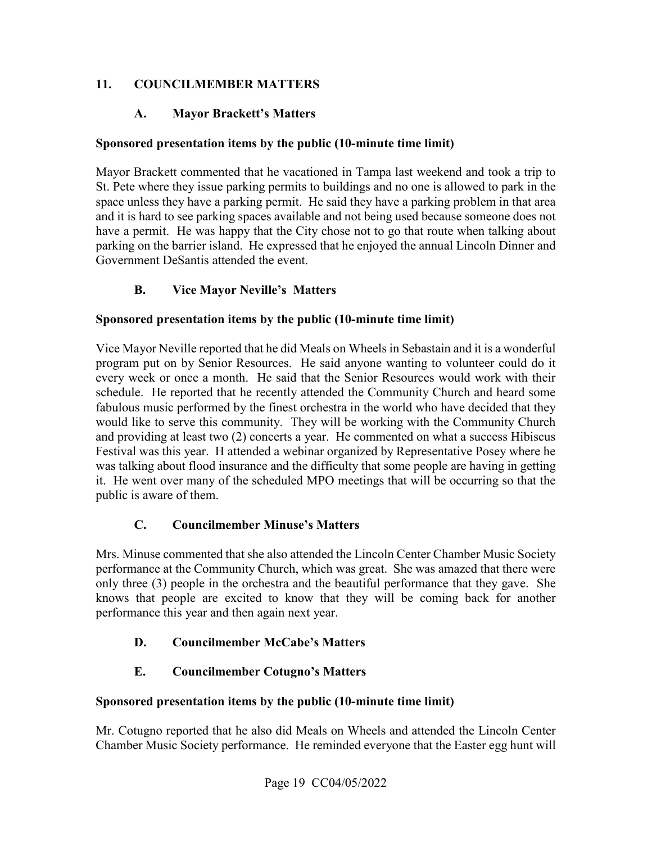# **11. COUNCILMEMBER MATTERS**

## **A. Mayor Brackett's Matters**

#### **Sponsored presentation items by the public (10-minute time limit)**

 space unless they have a parking permit. He said they have a parking problem in that area have a permit. He was happy that the City chose not to go that route when talking about Mayor Brackett commented that he vacationed in Tampa last weekend and took a trip to St. Pete where they issue parking permits to buildings and no one is allowed to park in the and it is hard to see parking spaces available and not being used because someone does not parking on the barrier island. He expressed that he enjoyed the annual Lincoln Dinner and Government DeSantis attended the event.

# **B. Vice Mayor Neville's Matters**

#### **Sponsored presentation items by the public (10-minute time limit)**

 program put on by Senior Resources. He said anyone wanting to volunteer could do it Festival was this year. H attended a webinar organized by Representative Posey where he it. He went over many of the scheduled MPO meetings that will be occurring so that the public is aware of them. Vice Mayor Neville reported that he did Meals on Wheels in Sebastain and it is a wonderful every week or once a month. He said that the Senior Resources would work with their schedule. He reported that he recently attended the Community Church and heard some fabulous music performed by the finest orchestra in the world who have decided that they would like to serve this community. They will be working with the Community Church and providing at least two (2) concerts a year. He commented on what a success Hibiscus was talking about flood insurance and the difficulty that some people are having in getting

## **C. Councilmember Minuse's Matters**

 only three (3) people in the orchestra and the beautiful performance that they gave. She performance this year and then again next year. Mrs. Minuse commented that she also attended the Lincoln Center Chamber Music Society performance at the Community Church, which was great. She was amazed that there were knows that people are excited to know that they will be coming back for another

## **D. Councilmember McCabe's Matters**

## **E. Councilmember Cotugno's Matters**

#### **Sponsored presentation items by the public (10-minute time limit)**

Mr. Cotugno reported that he also did Meals on Wheels and attended the Lincoln Center Chamber Music Society performance. He reminded everyone that the Easter egg hunt will